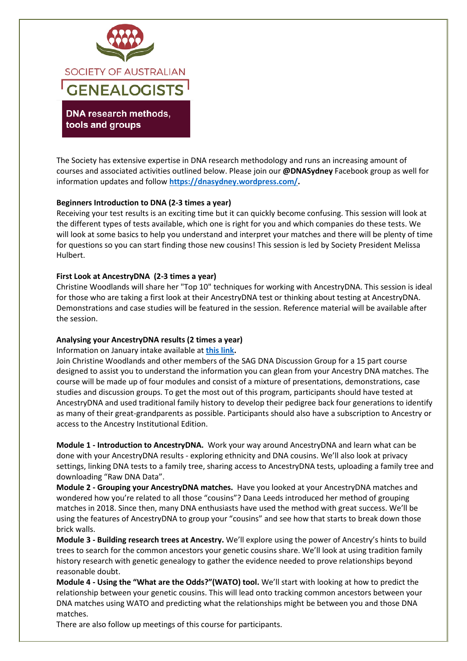

DNA research methods, tools and groups

The Society has extensive expertise in DNA research methodology and runs an increasing amount of courses and associated activities outlined below. Please join our **@DNASydney** Facebook group as well for information updates and follow **[https://dnasydney.wordpress.com/.](https://dnasydney.wordpress.com/)**

# **Beginners Introduction to DNA (2-3 times a year)**

Receiving your test results is an exciting time but it can quickly become confusing. This session will look at the different types of tests available, which one is right for you and which companies do these tests. We will look at some basics to help you understand and interpret your matches and there will be plenty of time for questions so you can start finding those new cousins! This session is led by Society President Melissa Hulbert.

## **First Look at AncestryDNA (2-3 times a year)**

Christine Woodlands will share her "Top 10" techniques for working with AncestryDNA. This session is ideal for those who are taking a first look at their AncestryDNA test or thinking about testing at AncestryDNA. Demonstrations and case studies will be featured in the session. Reference material will be available after the session.

# **Analysing your AncestryDNA results (2 times a year)**

Information on January intake available at **[this link.](https://www.sag.org.au/resources/Documents/Handouts/WOODLANDS%20SAG_DNA_Summer2022Program.pdf)**

Join Christine Woodlands and other members of the SAG DNA Discussion Group for a 15 part course designed to assist you to understand the information you can glean from your Ancestry DNA matches. The course will be made up of four modules and consist of a mixture of presentations, demonstrations, case studies and discussion groups. To get the most out of this program, participants should have tested at AncestryDNA and used traditional family history to develop their pedigree back four generations to identify as many of their great-grandparents as possible. Participants should also have a subscription to Ancestry or access to the Ancestry Institutional Edition.

**Module 1 - Introduction to AncestryDNA.** Work your way around AncestryDNA and learn what can be done with your AncestryDNA results - exploring ethnicity and DNA cousins. We'll also look at privacy settings, linking DNA tests to a family tree, sharing access to AncestryDNA tests, uploading a family tree and downloading "Raw DNA Data".

**Module 2 - Grouping your AncestryDNA matches.** Have you looked at your AncestryDNA matches and wondered how you're related to all those "cousins"? Dana Leeds introduced her method of grouping matches in 2018. Since then, many DNA enthusiasts have used the method with great success. We'll be using the features of AncestryDNA to group your "cousins" and see how that starts to break down those brick walls.

**Module 3 - Building research trees at Ancestry.** We'll explore using the power of Ancestry's hints to build trees to search for the common ancestors your genetic cousins share. We'll look at using tradition family history research with genetic genealogy to gather the evidence needed to prove relationships beyond reasonable doubt.

**Module 4 - Using the "What are the Odds?"(WATO) tool.** We'll start with looking at how to predict the relationship between your genetic cousins. This will lead onto tracking common ancestors between your DNA matches using WATO and predicting what the relationships might be between you and those DNA matches.

There are also follow up meetings of this course for participants.